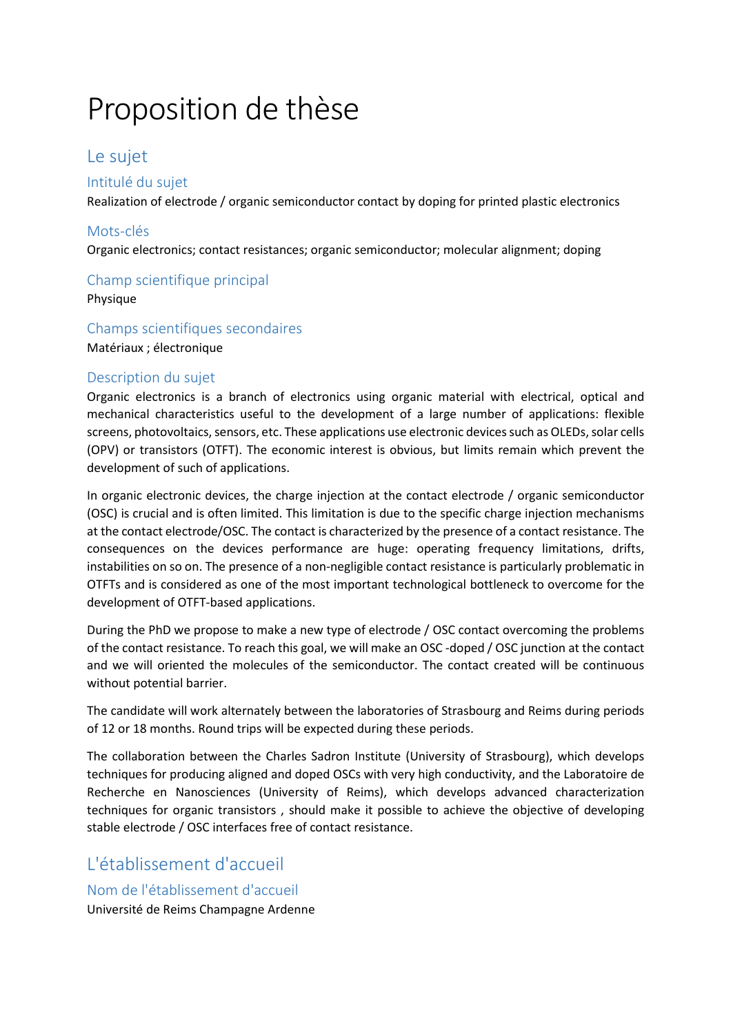# Proposition de thèse

# Le sujet

#### Intitulé du sujet

Realization of electrode / organic semiconductor contact by doping for printed plastic electronics

#### Mots-clés

Organic electronics; contact resistances; organic semiconductor; molecular alignment; doping

#### Champ scientifique principal

Physique

#### Champs scientifiques secondaires Matériaux ; électronique

#### Description du sujet

Organic electronics is a branch of electronics using organic material with electrical, optical and mechanical characteristics useful to the development of a large number of applications: flexible screens, photovoltaics, sensors, etc. These applications use electronic devices such as OLEDs, solar cells (OPV) or transistors (OTFT). The economic interest is obvious, but limits remain which prevent the development of such of applications.

In organic electronic devices, the charge injection at the contact electrode / organic semiconductor (OSC) is crucial and is often limited. This limitation is due to the specific charge injection mechanisms at the contact electrode/OSC. The contact is characterized by the presence of a contact resistance. The consequences on the devices performance are huge: operating frequency limitations, drifts, instabilities on so on. The presence of a non-negligible contact resistance is particularly problematic in OTFTs and is considered as one of the most important technological bottleneck to overcome for the development of OTFT-based applications.

During the PhD we propose to make a new type of electrode / OSC contact overcoming the problems of the contact resistance. To reach this goal, we will make an OSC -doped / OSC junction at the contact and we will oriented the molecules of the semiconductor. The contact created will be continuous without potential barrier.

The candidate will work alternately between the laboratories of Strasbourg and Reims during periods of 12 or 18 months. Round trips will be expected during these periods.

The collaboration between the Charles Sadron Institute (University of Strasbourg), which develops techniques for producing aligned and doped OSCs with very high conductivity, and the Laboratoire de Recherche en Nanosciences (University of Reims), which develops advanced characterization techniques for organic transistors , should make it possible to achieve the objective of developing stable electrode / OSC interfaces free of contact resistance.

## L'établissement d'accueil

### Nom de l'établissement d'accueil

Université de Reims Champagne Ardenne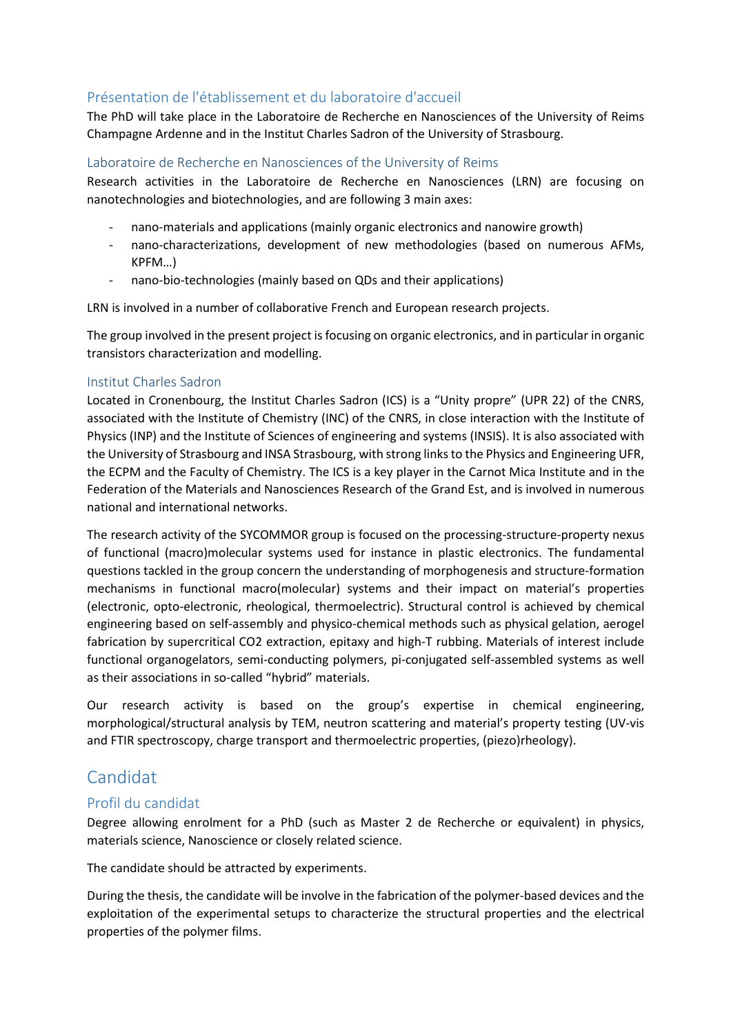#### Présentation de l'établissement et du laboratoire d'accueil

The PhD will take place in the Laboratoire de Recherche en Nanosciences of the University of Reims Champagne Ardenne and in the Institut Charles Sadron of the University of Strasbourg.

#### Laboratoire de Recherche en Nanosciences of the University of Reims

Research activities in the Laboratoire de Recherche en Nanosciences (LRN) are focusing on nanotechnologies and biotechnologies, and are following 3 main axes:

- nano-materials and applications (mainly organic electronics and nanowire growth)
- nano-characterizations, development of new methodologies (based on numerous AFMs, KPFM…)
- nano-bio-technologies (mainly based on QDs and their applications)

LRN is involved in a number of collaborative French and European research projects.

The group involved in the present project is focusing on organic electronics, and in particular in organic transistors characterization and modelling.

#### Institut Charles Sadron

Located in Cronenbourg, the Institut Charles Sadron (ICS) is a "Unity propre" (UPR 22) of the CNRS, associated with the Institute of Chemistry (INC) of the CNRS, in close interaction with the Institute of Physics (INP) and the Institute of Sciences of engineering and systems (INSIS). It is also associated with the University of Strasbourg and INSA Strasbourg, with strong links to the Physics and Engineering UFR, the ECPM and the Faculty of Chemistry. The ICS is a key player in the Carnot Mica Institute and in the Federation of the Materials and Nanosciences Research of the Grand Est, and is involved in numerous national and international networks.

The research activity of the SYCOMMOR group is focused on the processing-structure-property nexus of functional (macro)molecular systems used for instance in plastic electronics. The fundamental questions tackled in the group concern the understanding of morphogenesis and structure-formation mechanisms in functional macro(molecular) systems and their impact on material's properties (electronic, opto-electronic, rheological, thermoelectric). Structural control is achieved by chemical engineering based on self-assembly and physico-chemical methods such as physical gelation, aerogel fabrication by supercritical CO2 extraction, epitaxy and high-T rubbing. Materials of interest include functional organogelators, semi-conducting polymers, pi-conjugated self-assembled systems as well as their associations in so-called "hybrid" materials.

Our research activity is based on the group's expertise in chemical engineering, morphological/structural analysis by TEM, neutron scattering and material's property testing (UV-vis and FTIR spectroscopy, charge transport and thermoelectric properties, (piezo)rheology).

## Candidat

#### Profil du candidat

Degree allowing enrolment for a PhD (such as Master 2 de Recherche or equivalent) in physics, materials science, Nanoscience or closely related science.

The candidate should be attracted by experiments.

During the thesis, the candidate will be involve in the fabrication of the polymer-based devices and the exploitation of the experimental setups to characterize the structural properties and the electrical properties of the polymer films.